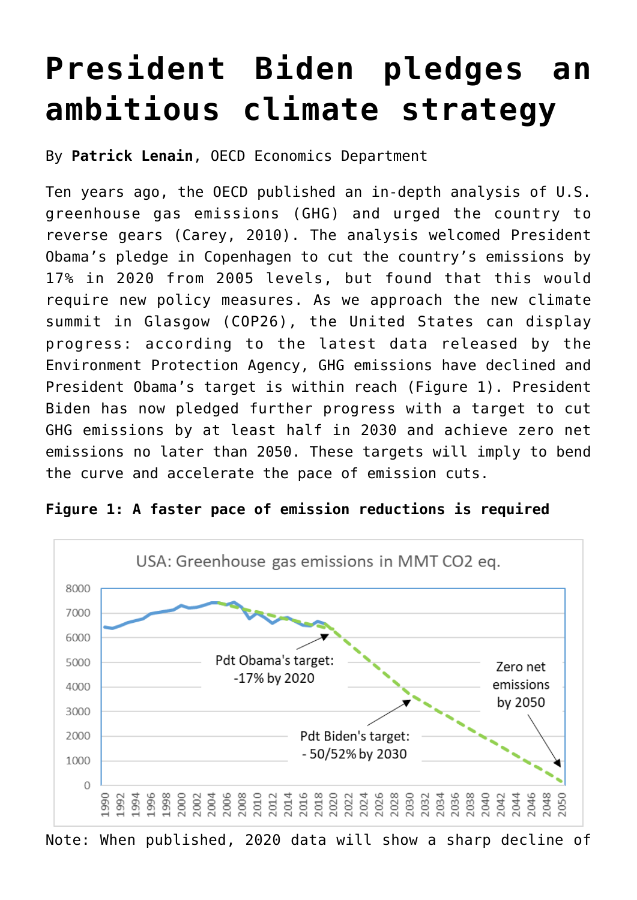## **[President Biden pledges an](https://oecdecoscope.blog/2021/04/23/president-biden-pledges-an-ambitious-climate-strategy/) [ambitious climate strategy](https://oecdecoscope.blog/2021/04/23/president-biden-pledges-an-ambitious-climate-strategy/)**

By **Patrick Lenain**, OECD Economics Department

Ten years ago, the OECD published an in-depth analysis of U.S. greenhouse gas emissions (GHG) and urged the country to reverse gears [\(Carey, 2010\)](https://www.oecd-ilibrary.org/docserver/5km5zrs4kc6l-en.pdf?expires=1618852722&id=id&accname=ocid84004878&checksum=54BF1AA9562631F865739CC013893851). The analysis welcomed President Obama's pledge in Copenhagen to cut the country's emissions by 17% in 2020 from 2005 levels, but found that this would require new policy measures. As we approach the new climate summit in Glasgow (COP26), the United States can display progress: according to the latest data released by the [Environment Protection Agency,](https://cfpub.epa.gov/ghgdata/inventoryexplorer/#allsectors/allsectors/allgas/econsect/all) GHG emissions have declined and President Obama's target is within reach (Figure 1). President Biden has now pledged further progress with a target to cut GHG emissions by at least half in 2030 and achieve zero net emissions no later than 2050. These targets will imply to bend the curve and accelerate the pace of emission cuts.



**Figure 1: A faster pace of emission reductions is required**

Note: When published, 2020 data will show a sharp decline of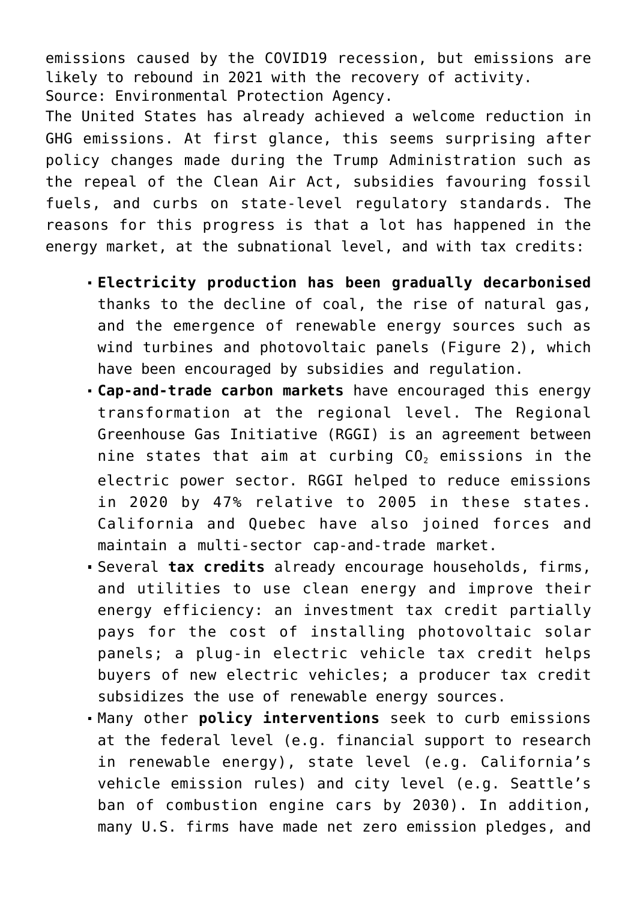emissions caused by the COVID19 recession, but emissions are likely to rebound in 2021 with the recovery of activity. Source: Environmental Protection Agency.

The United States has already achieved a welcome reduction in GHG emissions. At first glance, this seems surprising after policy changes made during the Trump Administration such as the repeal of the Clean Air Act, subsidies favouring fossil fuels, and curbs on state-level regulatory standards. The reasons for this progress is that a lot has happened in the energy market, at the subnational level, and with tax credits:

- **Electricity production has been gradually decarbonised** thanks to the decline of coal, the rise of natural gas, and the emergence of renewable energy sources such as wind turbines and photovoltaic panels (Figure 2), which have been encouraged by subsidies and regulation.
- **Cap-and-trade carbon markets** have encouraged this energy transformation at the regional level. The Regional Greenhouse Gas Initiative (RGGI) is an agreement between nine states that aim at curbing  $CO<sub>2</sub>$  emissions in the electric power sector. RGGI helped to reduce emissions in 2020 by 47% relative to 2005 in these states. California and Quebec have also joined forces and maintain a multi-sector cap-and-trade market.
- Several **tax credits** already encourage households, firms, and utilities to use clean energy and improve their energy efficiency: an investment tax credit partially pays for the cost of installing photovoltaic solar panels; a plug-in electric vehicle tax credit helps buyers of new electric vehicles; a producer tax credit subsidizes the use of renewable energy sources.
- Many other **policy interventions** seek to curb emissions at the federal level (e.g. financial support to research in renewable energy), state level (e.g. California's vehicle emission rules) and city level (e.g. Seattle's ban of combustion engine cars by 2030). In addition, many U.S. firms have made net zero emission pledges, and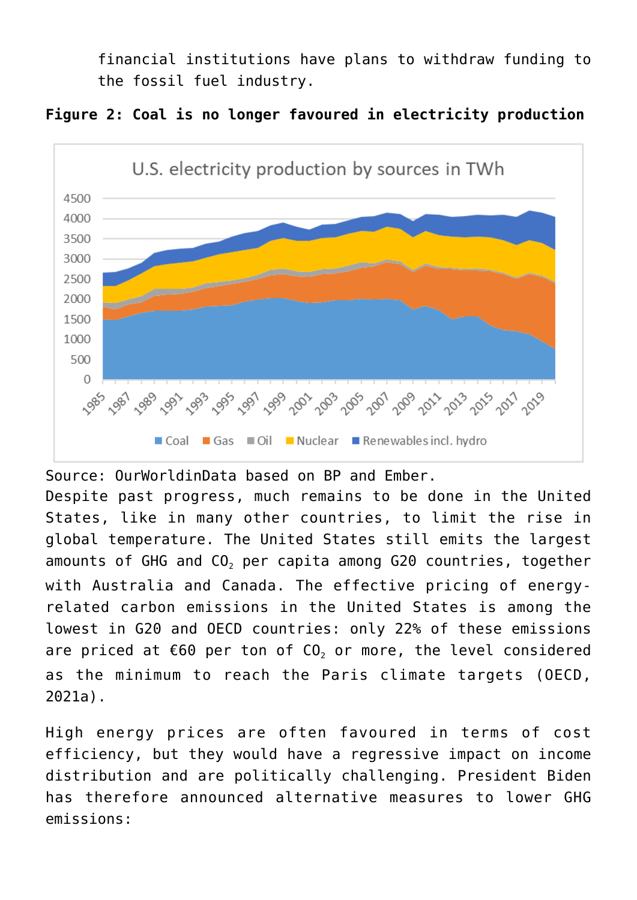financial institutions have plans to withdraw funding to the fossil fuel industry.





Source: OurWorldinData based on BP and Ember. Despite past progress, much remains to be done in the United States, like in many other countries, to limit the rise in global temperature. The United States still emits the largest amounts of GHG and CO<sub>2</sub> per capita among G20 countries, together with Australia and Canada. The effective pricing of energyrelated carbon emissions in the United States is among the lowest in G20 and OECD countries: only 22% of these emissions are priced at  $€60$  per ton of  $CO<sub>2</sub>$  or more, the level considered as the minimum to reach the Paris climate targets (OECD, 2021a).

High energy prices are often favoured in terms of cost efficiency, but they would have a regressive impact on income distribution and are politically challenging. President Biden has therefore announced alternative measures to lower GHG emissions: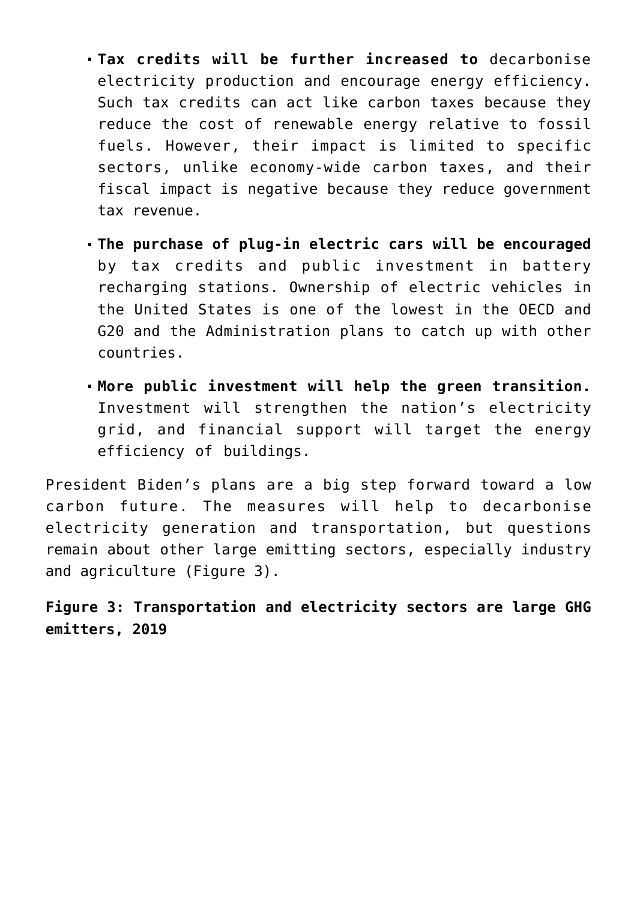- **Tax credits will be further increased to** decarbonise electricity production and encourage energy efficiency. Such tax credits can act like carbon taxes because they reduce the cost of renewable energy relative to fossil fuels. However, their impact is limited to specific sectors, unlike economy-wide carbon taxes, and their fiscal impact is negative because they reduce government tax revenue.
- **The purchase of plug-in electric cars will be encouraged** by tax credits and public investment in battery recharging stations. Ownership of electric vehicles in the United States is one of the lowest in the OECD and G20 and the Administration plans to catch up with other countries.
- **More public investment will help the green transition.** Investment will strengthen the nation's electricity grid, and financial support will target the energy efficiency of buildings.

President Biden's plans are a big step forward toward a low carbon future. The measures will help to decarbonise electricity generation and transportation, but questions remain about other large emitting sectors, especially industry and agriculture (Figure 3).

**Figure 3: Transportation and electricity sectors are large GHG emitters, 2019**